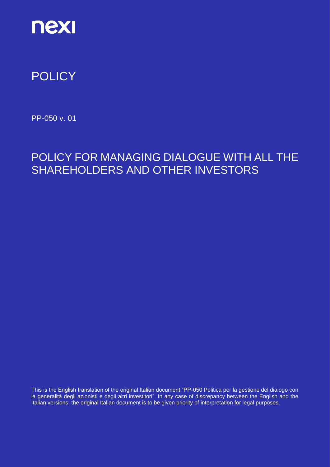

# **POLICY**

PP-050 v. 01

# POLICY FOR MANAGING DIALOGUE WITH ALL THE SHAREHOLDERS AND OTHER INVESTORS

This is the English translation of the original Italian document "PP-050 Politica per la gestione del dialogo con la generalità degli azionisti e degli altri investitori". In any case of discrepancy between the English and the Italian versions, the original Italian document is to be given priority of interpretation for legal purposes.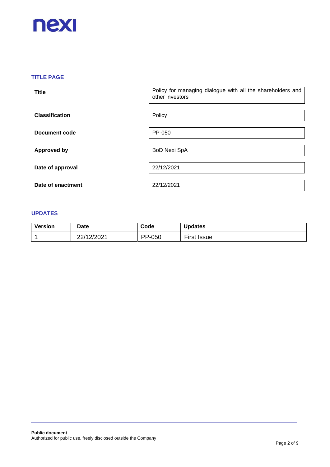

## **TITLE PAGE**

| <b>Title</b>          | Policy for managing dialogue with all the shareholders and<br>other investors |
|-----------------------|-------------------------------------------------------------------------------|
| <b>Classification</b> | Policy                                                                        |
| <b>Document code</b>  | PP-050                                                                        |
| <b>Approved by</b>    | <b>BoD Nexi SpA</b>                                                           |
| Date of approval      | 22/12/2021                                                                    |
| Date of enactment     | 22/12/2021                                                                    |

#### **UPDATES**

| <b>Version</b> | <b>Date</b> | Code   | <b>Updates</b> |
|----------------|-------------|--------|----------------|
|                | 22/12/2021  | PP-050 | First<br>Issue |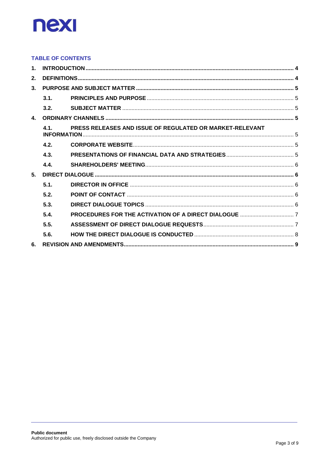

#### **TABLE OF CONTENTS**

| $\mathbf 1$    |      |                                                          |  |  |  |
|----------------|------|----------------------------------------------------------|--|--|--|
| 2.             |      |                                                          |  |  |  |
| 3 <sub>1</sub> |      |                                                          |  |  |  |
|                | 3.1. |                                                          |  |  |  |
|                | 3.2. |                                                          |  |  |  |
| $\mathbf{A}$   |      |                                                          |  |  |  |
|                | 4.1. | PRESS RELEASES AND ISSUE OF REGULATED OR MARKET-RELEVANT |  |  |  |
|                | 4.2. |                                                          |  |  |  |
|                | 4.3. |                                                          |  |  |  |
|                | 4.4. |                                                          |  |  |  |
| 5 <sub>1</sub> |      |                                                          |  |  |  |
|                | 5.1. |                                                          |  |  |  |
|                | 5.2. |                                                          |  |  |  |
|                | 5.3. |                                                          |  |  |  |
|                | 5.4. |                                                          |  |  |  |
|                | 5.5. |                                                          |  |  |  |
|                | 5.6. |                                                          |  |  |  |
| 6.             |      |                                                          |  |  |  |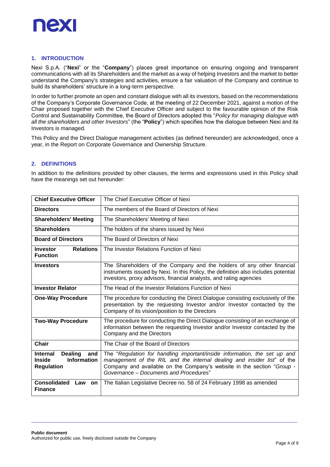

#### <span id="page-3-0"></span>**1. INTRODUCTION**

Nexi S.p.A. ("**Nexi**" or the "**Company**") places great importance on ensuring ongoing and transparent communications with all its Shareholders and the market as a way of helping Investors and the market to better understand the Company's strategies and activities, ensure a fair valuation of the Company and continue to build its shareholders' structure in a long-term perspective.

In order to further promote an open and constant dialogue with all its investors, based on the recommendations of the Company's Corporate Governance Code, at the meeting of 22 December 2021, against a motion of the Chair proposed together with the Chief Executive Officer and subject to the favourable opinion of the Risk Control and Sustainability Committee, the Board of Directors adopted this "*Policy for managing dialogue with all the shareholders and other Investors*" (the "**Policy**") which specifies how the dialogue between Nexi and its Investors is managed.

This Policy and the Direct Dialogue management activities (as defined hereunder) are acknowledged, once a year, in the Report on Corporate Governance and Ownership Structure.

#### <span id="page-3-1"></span>**2. DEFINITIONS**

In addition to the definitions provided by other clauses, the terms and expressions used in this Policy shall have the meanings set out hereunder:

<span id="page-3-2"></span>

| <b>Chief Executive Officer</b>                                                                                                     | The Chief Executive Officer of Nexi                                                                                                                                                                                                                                      |
|------------------------------------------------------------------------------------------------------------------------------------|--------------------------------------------------------------------------------------------------------------------------------------------------------------------------------------------------------------------------------------------------------------------------|
| <b>Directors</b>                                                                                                                   | The members of the Board of Directors of Nexi                                                                                                                                                                                                                            |
| <b>Shareholders' Meeting</b>                                                                                                       | The Shareholders' Meeting of Nexi                                                                                                                                                                                                                                        |
| <b>Shareholders</b>                                                                                                                | The holders of the shares issued by Nexi                                                                                                                                                                                                                                 |
| <b>Board of Directors</b>                                                                                                          | The Board of Directors of Nexi                                                                                                                                                                                                                                           |
| <b>Relations</b><br><b>Investor</b><br><b>Function</b>                                                                             | The Investor Relations Function of Nexi                                                                                                                                                                                                                                  |
| <b>Investors</b>                                                                                                                   | The Shareholders of the Company and the holders of any other financial<br>instruments issued by Nexi. In this Policy, the definition also includes potential<br>investors, proxy advisors, financial analysts, and rating agencies                                       |
| <b>Investor Relator</b>                                                                                                            | The Head of the Investor Relations Function of Nexi                                                                                                                                                                                                                      |
| <b>One-Way Procedure</b>                                                                                                           | The procedure for conducting the Direct Dialogue consisting exclusively of the<br>presentation by the requesting Investor and/or Investor contacted by the<br>Company of its vision/position to the Directors                                                            |
| <b>Two-Way Procedure</b>                                                                                                           | The procedure for conducting the Direct Dialogue consisting of an exchange of<br>information between the requesting Investor and/or Investor contacted by the<br>Company and the Directors                                                                               |
| <b>Chair</b>                                                                                                                       | The Chair of the Board of Directors                                                                                                                                                                                                                                      |
| <b>Dealing</b><br><b>Internal</b><br>and<br><b>Information</b><br><b>Inside</b><br><b>Regulation</b><br><b>Consolidated</b><br>Law | The "Regulation for handling important/inside information, the set up and<br>management of the RIL and the internal dealing and insider list" of the<br>Company and available on the Company's website in the section "Group -<br>Governance – Documents and Procedures" |
| on<br><b>Finance</b>                                                                                                               | The Italian Legislative Decree no. 58 of 24 February 1998 as amended                                                                                                                                                                                                     |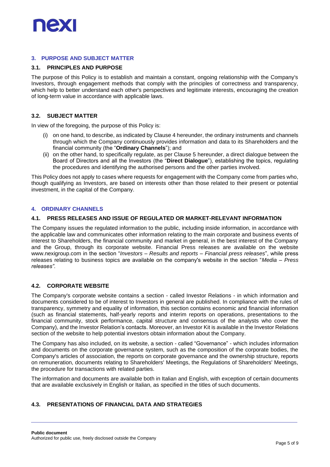

#### **3. PURPOSE AND SUBJECT MATTER**

#### <span id="page-4-0"></span>**3.1. PRINCIPLES AND PURPOSE**

The purpose of this Policy is to establish and maintain a constant, ongoing relationship with the Company's Investors, through engagement methods that comply with the principles of correctness and transparency, which help to better understand each other's perspectives and legitimate interests, encouraging the creation of long-term value in accordance with applicable laws.

#### <span id="page-4-1"></span>**3.2. SUBJECT MATTER**

In view of the foregoing, the purpose of this Policy is:

- (i) on one hand, to describe, as indicated by Clause 4 hereunder, the ordinary instruments and channels through which the Company continuously provides information and data to its Shareholders and the financial community (the "**Ordinary Channels**"); and
- (ii) on the other hand, to specifically regulate, as per Clause 5 hereunder, a direct dialogue between the Board of Directors and all the Investors (the "**Direct Dialogue**"), establishing the topics, regulating the procedures and identifying the authorised persons and the other parties involved.

This Policy does not apply to cases where requests for engagement with the Company come from parties who, though qualifying as Investors, are based on interests other than those related to their present or potential investment, in the capital of the Company.

#### <span id="page-4-2"></span>**4. ORDINARY CHANNELS**

#### <span id="page-4-3"></span>**4.1. PRESS RELEASES AND ISSUE OF REGULATED OR MARKET-RELEVANT INFORMATION**

The Company issues the regulated information to the public, including inside information, in accordance with the applicable law and communicates other information relating to the main corporate and business events of interest to Shareholders, the financial community and market in general, in the best interest of the Company and the Group, through its corporate website. Financial Press releases are available on the website www.nexigroup.com in the section "*Investors* – *Results and reports – Financial press releases*", while press releases relating to business topics are available on the company's website in the section "*Media – Press releases".*

#### <span id="page-4-4"></span>**4.2. CORPORATE WEBSITE**

The Company's corporate website contains a section - called Investor Relations - in which information and documents considered to be of interest to Investors in general are published. In compliance with the rules of transparency, symmetry and equality of information, this section contains economic and financial information (such as financial statements, half-yearly reports and interim reports on operations, presentations to the financial community, stock performance, capital structure and consensus of the analysts who cover the Company), and the Investor Relation's contacts. Moreover, an Investor Kit is available in the Investor Relations section of the website to help potential investors obtain information about the Company.

The Company has also included, on its website, a section - called "Governance" - which includes information and documents on the corporate governance system, such as the composition of the corporate bodies, the Company's articles of association, the reports on corporate governance and the ownership structure, reports on remuneration, documents relating to Shareholders' Meetings, the Regulations of Shareholders' Meetings, the procedure for transactions with related parties.

The information and documents are available both in Italian and English, with exception of certain documents that are available exclusively in English or Italian, as specified in the titles of such documents.

#### <span id="page-4-5"></span>**4.3. PRESENTATIONS OF FINANCIAL DATA AND STRATEGIES**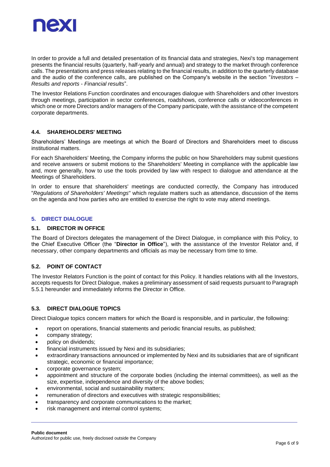

In order to provide a full and detailed presentation of its financial data and strategies, Nexi's top management presents the financial results (quarterly, half-yearly and annual) and strategy to the market through conference calls. The presentations and press releases relating to the financial results*,* in addition to the quarterly database and the audio of the conference calls, are published on the Company's website in the section "*Investors* – *Results and reports* - *Financial results*".

The Investor Relations Function coordinates and encourages dialogue with Shareholders and other Investors through meetings, participation in sector conferences, roadshows, conference calls or videoconferences in which one or more Directors and/or managers of the Company participate, with the assistance of the competent corporate departments.

#### <span id="page-5-0"></span>**4.4. SHAREHOLDERS' MEETING**

Shareholders' Meetings are meetings at which the Board of Directors and Shareholders meet to discuss institutional matters.

For each Shareholders' Meeting, the Company informs the public on how Shareholders may submit questions and receive answers or submit motions to the Shareholders' Meeting in compliance with the applicable law and, more generally, how to use the tools provided by law with respect to dialogue and attendance at the Meetings of Shareholders.

In order to ensure that shareholders' meetings are conducted correctly, the Company has introduced "*Regulations of Shareholders' Meetings*" which regulate matters such as attendance, discussion of the items on the agenda and how parties who are entitled to exercise the right to vote may attend meetings.

#### <span id="page-5-1"></span>**5. DIRECT DIALOGUE**

#### <span id="page-5-2"></span>**5.1. DIRECTOR IN OFFICE**

The Board of Directors delegates the management of the Direct Dialogue, in compliance with this Policy, to the Chief Executive Officer (the "**Director in Office**"), with the assistance of the Investor Relator and, if necessary, other company departments and officials as may be necessary from time to time.

#### <span id="page-5-3"></span>**5.2. POINT OF CONTACT**

The Investor Relators Function is the point of contact for this Policy. It handles relations with all the Investors, accepts requests for Direct Dialogue, makes a preliminary assessment of said requests pursuant to Paragraph 5.5.1 hereunder and immediately informs the Director in Office.

#### <span id="page-5-4"></span>**5.3. DIRECT DIALOGUE TOPICS**

Direct Dialogue topics concern matters for which the Board is responsible, and in particular, the following:

- report on operations, financial statements and periodic financial results, as published;
- company strategy;
- policy on dividends;
- financial instruments issued by Nexi and its subsidiaries;
- extraordinary transactions announced or implemented by Nexi and its subsidiaries that are of significant strategic, economic or financial importance;
- corporate governance system;
- appointment and structure of the corporate bodies (including the internal committees), as well as the size, expertise, independence and diversity of the above bodies;
- environmental, social and sustainability matters;
- remuneration of directors and executives with strategic responsibilities;
- transparency and corporate communications to the market;
- risk management and internal control systems;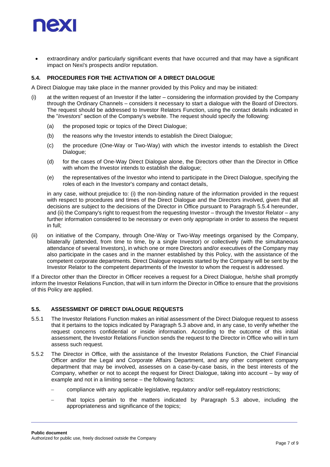

• extraordinary and/or particularly significant events that have occurred and that may have a significant impact on Nexi's prospects and/or reputation.

#### <span id="page-6-0"></span>**5.4. PROCEDURES FOR THE ACTIVATION OF A DIRECT DIALOGUE**

A Direct Dialogue may take place in the manner provided by this Policy and may be initiated:

- (i) at the written request of an Investor if the latter considering the information provided by the Company through the Ordinary Channels – considers it necessary to start a dialogue with the Board of Directors. The request should be addressed to Investor Relators Function, using the contact details indicated in the "*Investors*" section of the Company's website. The request should specify the following:
	- (a) the proposed topic or topics of the Direct Dialogue;
	- (b) the reasons why the Investor intends to establish the Direct Dialogue;
	- (c) the procedure (One-Way or Two-Way) with which the investor intends to establish the Direct Dialogue;
	- (d) for the cases of One-Way Direct Dialogue alone, the Directors other than the Director in Office with whom the Investor intends to establish the dialogue;
	- (e) the representatives of the Investor who intend to participate in the Direct Dialogue, specifying the roles of each in the Investor's company and contact details,

in any case, without prejudice to: (i) the non-binding nature of the information provided in the request with respect to procedures and times of the Direct Dialogue and the Directors involved, given that all decisions are subject to the decisions of the Director in Office pursuant to Paragraph 5.5.4 hereunder, and (ii) the Company's right to request from the requesting Investor – through the Investor Relator – any further information considered to be necessary or even only appropriate in order to assess the request in full;

(ii) on initiative of the Company, through One-Way or Two-Way meetings organised by the Company, bilaterally (attended, from time to time, by a single Investor) or collectively (with the simultaneous attendance of several Investors), in which one or more Directors and/or executives of the Company may also participate in the cases and in the manner established by this Policy, with the assistance of the competent corporate departments. Direct Dialogue requests started by the Company will be sent by the Investor Relator to the competent departments of the Investor to whom the request is addressed.

If a Director other than the Director in Officer receives a request for a Direct Dialogue, he/she shall promptly inform the Investor Relations Function, that will in turn inform the Director in Office to ensure that the provisions of this Policy are applied.

#### <span id="page-6-1"></span>**5.5. ASSESSMENT OF DIRECT DIALOGUE REQUESTS**

- 5.5.1 The Investor Relations Function makes an initial assessment of the Direct Dialogue request to assess that it pertains to the topics indicated by Paragraph 5.3 above and, in any case, to verify whether the request concerns confidential or inside information. According to the outcome of this initial assessment, the Investor Relations Function sends the request to the Director in Office who will in turn assess such request.
- 5.5.2 The Director in Office, with the assistance of the Investor Relations Function, the Chief Financial Officer and/or the Legal and Corporate Affairs Department, and any other competent company department that may be involved, assesses on a case-by-case basis, in the best interests of the Company, whether or not to accept the request for Direct Dialogue, taking into account – by way of example and not in a limiting sense – the following factors:
	- − compliance with any applicable legislative, regulatory and/or self-regulatory restrictions;
	- that topics pertain to the matters indicated by Paragraph 5.3 above, including the appropriateness and significance of the topics;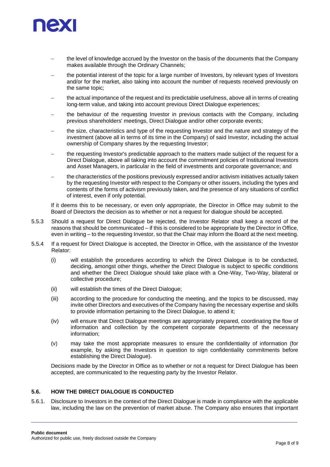

- the level of knowledge accrued by the Investor on the basis of the documents that the Company makes available through the Ordinary Channels;
- the potential interest of the topic for a large number of Investors, by relevant types of Investors and/or for the market, also taking into account the number of requests received previously on the same topic;
- the actual importance of the request and its predictable usefulness, above all in terms of creating long-term value, and taking into account previous Direct Dialogue experiences;
- the behaviour of the requesting Investor in previous contacts with the Company, including previous shareholders' meetings, Direct Dialogue and/or other corporate events;
- the size, characteristics and type of the requesting Investor and the nature and strategy of the investment (above all in terms of its time in the Company) of said Investor, including the actual ownership of Company shares by the requesting Investor;
- the requesting Investor's predictable approach to the matters made subject of the request for a Direct Dialogue, above all taking into account the commitment policies of Institutional Investors and Asset Managers, in particular in the field of investments and corporate governance; and
- the characteristics of the positions previously expressed and/or activism initiatives actually taken by the requesting Investor with respect to the Company or other issuers, including the types and contents of the forms of activism previously taken, and the presence of any situations of conflict of interest, even if only potential.

If it deems this to be necessary, or even only appropriate, the Director in Office may submit to the Board of Directors the decision as to whether or not a request for dialogue should be accepted.

- 5.5.3 Should a request for Direct Dialogue be rejected, the Investor Relator shall keep a record of the reasons that should be communicated – if this is considered to be appropriate by the Director in Office, even in writing – to the requesting Investor, so that the Chair may inform the Board at the next meeting.
- 5.5.4 If a request for Direct Dialogue is accepted, the Director in Office, with the assistance of the Investor Relator:
	- (i) will establish the procedures according to which the Direct Dialogue is to be conducted, deciding, amongst other things, whether the Direct Dialogue is subject to specific conditions and whether the Direct Dialogue should take place with a One-Way, Two-Way, bilateral or collective procedure;
	- (ii) will establish the times of the Direct Dialogue;
	- (iii) according to the procedure for conducting the meeting, and the topics to be discussed, may invite other Directors and executives of the Company having the necessary expertise and skills to provide information pertaining to the Direct Dialogue, to attend it;
	- (iv) will ensure that Direct Dialogue meetings are appropriately prepared, coordinating the flow of information and collection by the competent corporate departments of the necessary information;
	- (v) may take the most appropriate measures to ensure the confidentiality of information (for example, by asking the Investors in question to sign confidentiality commitments before establishing the Direct Dialogue).

Decisions made by the Director in Office as to whether or not a request for Direct Dialogue has been accepted, are communicated to the requesting party by the Investor Relator.

### <span id="page-7-0"></span>**5.6. HOW THE DIRECT DIALOGUE IS CONDUCTED**

5.6.1. Disclosure to Investors in the context of the Direct Dialogue is made in compliance with the applicable law, including the law on the prevention of market abuse. The Company also ensures that important